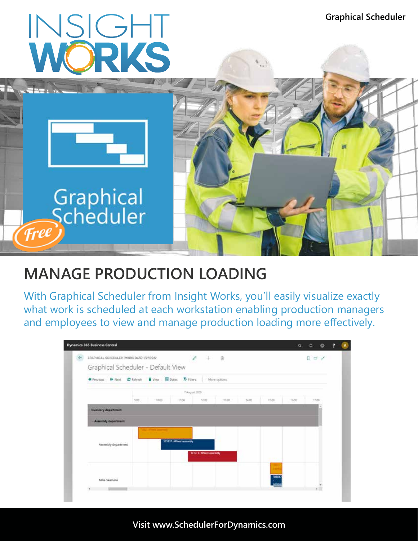

# **MANAGE PRODUCTION LOADING**

With Graphical Scheduler from Insight Works, you'll easily visualize exactly what work is scheduled at each workstation enabling production managers and employees to view and manage production loading more effectively.

|  | <b>Dynamics 365 Business Central</b>                                                                |      |       |      |       |       |       |                 |       | $Q_1 Q_2 Q_3 Q_4$                 |  | $\left( \mathbf{A}\right)$ |
|--|-----------------------------------------------------------------------------------------------------|------|-------|------|-------|-------|-------|-----------------|-------|-----------------------------------|--|----------------------------|
|  | CRAPINGAL SCHEDULER (WORK DATE: 1/21/2022)<br>$\ell$ +<br>一 由<br>Graphical Scheduler - Default View |      |       |      |       |       |       |                 |       | $D \ncong \nightharpoonup^c$      |  |                            |
|  | 40 heritages - IP Next - Children - El View - El Dates - St Filters - International                 |      |       |      |       |       |       |                 |       |                                   |  |                            |
|  | 7.August 2020                                                                                       |      |       |      |       |       |       |                 |       |                                   |  |                            |
|  |                                                                                                     | 9.00 | 30.00 | 1100 | 12.00 | 13.00 | 14.00 | 15.00           | 16.00 | 17.00                             |  |                            |
|  | <b>Inventory department</b>                                                                         |      |       |      |       |       |       |                 |       |                                   |  |                            |
|  | - Assembly department                                                                               |      |       |      |       |       |       |                 |       |                                   |  |                            |
|  | 101017 (Wheel accombly<br>Assembly department<br>301011: Wheel assembly                             |      |       |      |       |       |       |                 |       |                                   |  |                            |
|  | Mike Seamans<br>٠                                                                                   |      |       |      |       |       |       | 101017<br>Conty |       | $\overline{\phantom{a}}$<br>k III |  |                            |

**Visit www.SchedulerForDynamics.com**